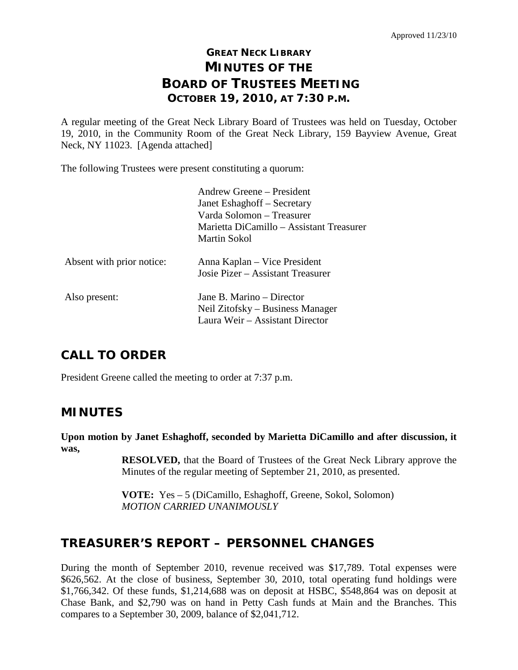# **GREAT NECK LIBRARY MINUTES OF THE BOARD OF TRUSTEES MEETING OCTOBER 19, 2010, AT 7:30 P.M.**

A regular meeting of the Great Neck Library Board of Trustees was held on Tuesday, October 19, 2010, in the Community Room of the Great Neck Library, 159 Bayview Avenue, Great Neck, NY 11023. [Agenda attached]

The following Trustees were present constituting a quorum:

|                           | Andrew Greene – President                |
|---------------------------|------------------------------------------|
|                           | Janet Eshaghoff – Secretary              |
|                           | Varda Solomon – Treasurer                |
|                           | Marietta DiCamillo – Assistant Treasurer |
|                           | Martin Sokol                             |
| Absent with prior notice: | Anna Kaplan – Vice President             |
|                           | Josie Pizer – Assistant Treasurer        |
| Also present:             | Jane B. Marino – Director                |
|                           | Neil Zitofsky – Business Manager         |
|                           | Laura Weir - Assistant Director          |
|                           |                                          |

# **CALL TO ORDER**

President Greene called the meeting to order at 7:37 p.m.

## **MINUTES**

**Upon motion by Janet Eshaghoff, seconded by Marietta DiCamillo and after discussion, it was,**

> **RESOLVED,** that the Board of Trustees of the Great Neck Library approve the Minutes of the regular meeting of September 21, 2010, as presented.

**VOTE:** Yes – 5 (DiCamillo, Eshaghoff, Greene, Sokol, Solomon) *MOTION CARRIED UNANIMOUSLY*

# **TREASURER'S REPORT – PERSONNEL CHANGES**

During the month of September 2010, revenue received was \$17,789. Total expenses were \$626,562. At the close of business, September 30, 2010, total operating fund holdings were \$1,766,342. Of these funds, \$1,214,688 was on deposit at HSBC, \$548,864 was on deposit at Chase Bank, and \$2,790 was on hand in Petty Cash funds at Main and the Branches. This compares to a September 30, 2009, balance of \$2,041,712.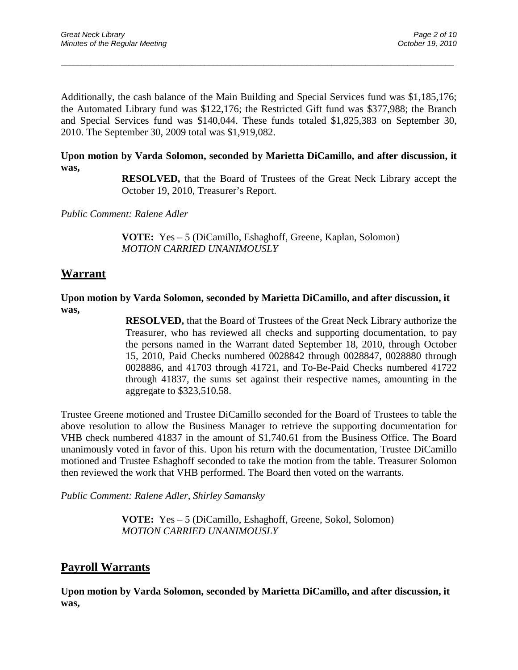Additionally, the cash balance of the Main Building and Special Services fund was \$1,185,176; the Automated Library fund was \$122,176; the Restricted Gift fund was \$377,988; the Branch and Special Services fund was \$140,044. These funds totaled \$1,825,383 on September 30, 2010. The September 30, 2009 total was \$1,919,082.

\_\_\_\_\_\_\_\_\_\_\_\_\_\_\_\_\_\_\_\_\_\_\_\_\_\_\_\_\_\_\_\_\_\_\_\_\_\_\_\_\_\_\_\_\_\_\_\_\_\_\_\_\_\_\_\_\_\_\_\_\_\_\_\_\_\_\_\_\_\_\_\_\_\_\_\_\_\_\_\_\_\_\_\_\_\_\_\_\_\_\_\_\_

#### **Upon motion by Varda Solomon, seconded by Marietta DiCamillo, and after discussion, it was,**

**RESOLVED,** that the Board of Trustees of the Great Neck Library accept the October 19, 2010, Treasurer's Report.

*Public Comment: Ralene Adler*

**VOTE:** Yes – 5 (DiCamillo, Eshaghoff, Greene, Kaplan, Solomon) *MOTION CARRIED UNANIMOUSLY*

#### **Warrant**

#### **Upon motion by Varda Solomon, seconded by Marietta DiCamillo, and after discussion, it was,**

**RESOLVED,** that the Board of Trustees of the Great Neck Library authorize the Treasurer, who has reviewed all checks and supporting documentation, to pay the persons named in the Warrant dated September 18, 2010, through October 15, 2010, Paid Checks numbered 0028842 through 0028847, 0028880 through 0028886, and 41703 through 41721, and To-Be-Paid Checks numbered 41722 through 41837, the sums set against their respective names, amounting in the aggregate to \$323,510.58.

Trustee Greene motioned and Trustee DiCamillo seconded for the Board of Trustees to table the above resolution to allow the Business Manager to retrieve the supporting documentation for VHB check numbered 41837 in the amount of \$1,740.61 from the Business Office. The Board unanimously voted in favor of this. Upon his return with the documentation, Trustee DiCamillo motioned and Trustee Eshaghoff seconded to take the motion from the table. Treasurer Solomon then reviewed the work that VHB performed. The Board then voted on the warrants.

*Public Comment: Ralene Adler, Shirley Samansky*

**VOTE:** Yes – 5 (DiCamillo, Eshaghoff, Greene, Sokol, Solomon) *MOTION CARRIED UNANIMOUSLY*

#### **Payroll Warrants**

**Upon motion by Varda Solomon, seconded by Marietta DiCamillo, and after discussion, it was,**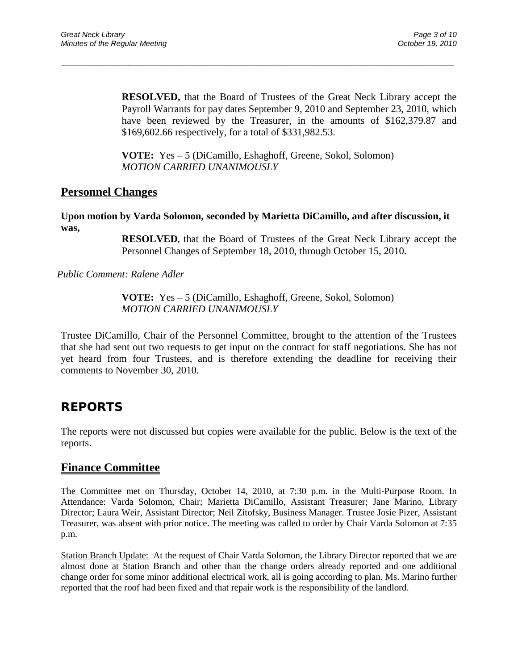**RESOLVED,** that the Board of Trustees of the Great Neck Library accept the Payroll Warrants for pay dates September 9, 2010 and September 23, 2010, which have been reviewed by the Treasurer, in the amounts of \$162,379.87 and \$169,602.66 respectively, for a total of \$331,982.53.

**VOTE:** Yes – 5 (DiCamillo, Eshaghoff, Greene, Sokol, Solomon) *MOTION CARRIED UNANIMOUSLY*

\_\_\_\_\_\_\_\_\_\_\_\_\_\_\_\_\_\_\_\_\_\_\_\_\_\_\_\_\_\_\_\_\_\_\_\_\_\_\_\_\_\_\_\_\_\_\_\_\_\_\_\_\_\_\_\_\_\_\_\_\_\_\_\_\_\_\_\_\_\_\_\_\_\_\_\_\_\_\_\_\_\_\_\_\_\_\_\_\_\_\_\_\_

### **Personnel Changes**

**Upon motion by Varda Solomon, seconded by Marietta DiCamillo, and after discussion, it was,**

> **RESOLVED,** that the Board of Trustees of the Great Neck Library accept the Personnel Changes of September 18, 2010, through October 15, 2010.

*Public Comment: Ralene Adler*

**VOTE:** Yes – 5 (DiCamillo, Eshaghoff, Greene, Sokol, Solomon) *MOTION CARRIED UNANIMOUSLY*

Trustee DiCamillo, Chair of the Personnel Committee, brought to the attention of the Trustees that she had sent out two requests to get input on the contract for staff negotiations. She has not yet heard from four Trustees, and is therefore extending the deadline for receiving their comments to November 30, 2010.

## **REPORTS**

The reports were not discussed but copies were available for the public. Below is the text of the reports.

#### **Finance Committee**

The Committee met on Thursday, October 14, 2010, at 7:30 p.m. in the Multi-Purpose Room. In Attendance: Varda Solomon, Chair; Marietta DiCamillo, Assistant Treasurer; Jane Marino, Library Director; Laura Weir, Assistant Director; Neil Zitofsky, Business Manager. Trustee Josie Pizer, Assistant Treasurer, was absent with prior notice. The meeting was called to order by Chair Varda Solomon at 7:35 p.m.

Station Branch Update: At the request of Chair Varda Solomon, the Library Director reported that we are almost done at Station Branch and other than the change orders already reported and one additional change order for some minor additional electrical work, all is going according to plan. Ms. Marino further reported that the roof had been fixed and that repair work is the responsibility of the landlord.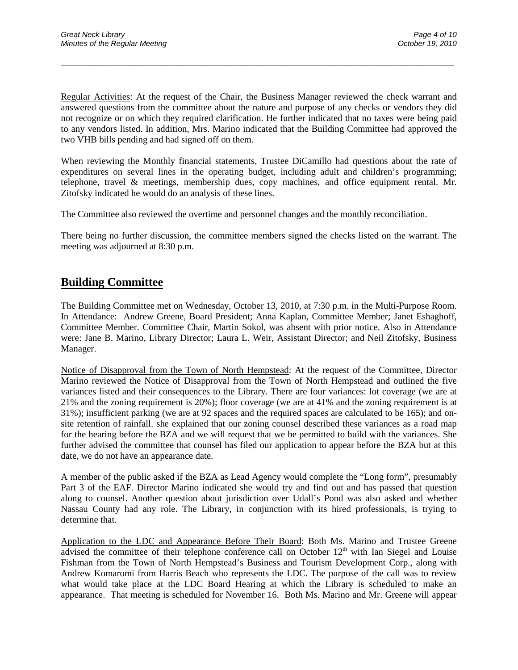Regular Activities: At the request of the Chair, the Business Manager reviewed the check warrant and answered questions from the committee about the nature and purpose of any checks or vendors they did not recognize or on which they required clarification. He further indicated that no taxes were being paid to any vendors listed. In addition, Mrs. Marino indicated that the Building Committee had approved the two VHB bills pending and had signed off on them.

\_\_\_\_\_\_\_\_\_\_\_\_\_\_\_\_\_\_\_\_\_\_\_\_\_\_\_\_\_\_\_\_\_\_\_\_\_\_\_\_\_\_\_\_\_\_\_\_\_\_\_\_\_\_\_\_\_\_\_\_\_\_\_\_\_\_\_\_\_\_\_\_\_\_\_\_\_\_\_\_\_\_\_\_\_\_\_\_\_\_\_\_\_

When reviewing the Monthly financial statements, Trustee DiCamillo had questions about the rate of expenditures on several lines in the operating budget, including adult and children's programming; telephone, travel & meetings, membership dues, copy machines, and office equipment rental. Mr. Zitofsky indicated he would do an analysis of these lines.

The Committee also reviewed the overtime and personnel changes and the monthly reconciliation.

There being no further discussion, the committee members signed the checks listed on the warrant. The meeting was adjourned at 8:30 p.m.

#### **Building Committee**

The Building Committee met on Wednesday, October 13, 2010, at 7:30 p.m. in the Multi-Purpose Room. In Attendance: Andrew Greene, Board President; Anna Kaplan, Committee Member; Janet Eshaghoff, Committee Member. Committee Chair, Martin Sokol, was absent with prior notice. Also in Attendance were: Jane B. Marino, Library Director; Laura L. Weir, Assistant Director; and Neil Zitofsky, Business Manager.

Notice of Disapproval from the Town of North Hempstead: At the request of the Committee, Director Marino reviewed the Notice of Disapproval from the Town of North Hempstead and outlined the five variances listed and their consequences to the Library. There are four variances: lot coverage (we are at 21% and the zoning requirement is 20%); floor coverage (we are at 41% and the zoning requirement is at 31%); insufficient parking (we are at 92 spaces and the required spaces are calculated to be 165); and onsite retention of rainfall. she explained that our zoning counsel described these variances as a road map for the hearing before the BZA and we will request that we be permitted to build with the variances. She further advised the committee that counsel has filed our application to appear before the BZA but at this date, we do not have an appearance date.

A member of the public asked if the BZA as Lead Agency would complete the "Long form", presumably Part 3 of the EAF. Director Marino indicated she would try and find out and has passed that question along to counsel. Another question about jurisdiction over Udall's Pond was also asked and whether Nassau County had any role. The Library, in conjunction with its hired professionals, is trying to determine that.

Application to the LDC and Appearance Before Their Board: Both Ms. Marino and Trustee Greene advised the committee of their telephone conference call on October  $12<sup>th</sup>$  with Ian Siegel and Louise Fishman from the Town of North Hempstead's Business and Tourism Development Corp., along with Andrew Komaromi from Harris Beach who represents the LDC. The purpose of the call was to review what would take place at the LDC Board Hearing at which the Library is scheduled to make an appearance. That meeting is scheduled for November 16. Both Ms. Marino and Mr. Greene will appear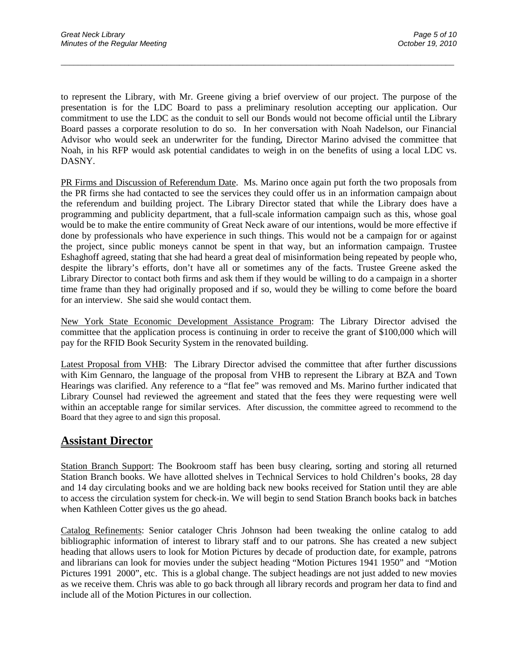to represent the Library, with Mr. Greene giving a brief overview of our project. The purpose of the presentation is for the LDC Board to pass a preliminary resolution accepting our application. Our commitment to use the LDC as the conduit to sell our Bonds would not become official until the Library Board passes a corporate resolution to do so. In her conversation with Noah Nadelson, our Financial Advisor who would seek an underwriter for the funding, Director Marino advised the committee that Noah, in his RFP would ask potential candidates to weigh in on the benefits of using a local LDC vs. DASNY.

\_\_\_\_\_\_\_\_\_\_\_\_\_\_\_\_\_\_\_\_\_\_\_\_\_\_\_\_\_\_\_\_\_\_\_\_\_\_\_\_\_\_\_\_\_\_\_\_\_\_\_\_\_\_\_\_\_\_\_\_\_\_\_\_\_\_\_\_\_\_\_\_\_\_\_\_\_\_\_\_\_\_\_\_\_\_\_\_\_\_\_\_\_

PR Firms and Discussion of Referendum Date. Ms. Marino once again put forth the two proposals from the PR firms she had contacted to see the services they could offer us in an information campaign about the referendum and building project. The Library Director stated that while the Library does have a programming and publicity department, that a full-scale information campaign such as this, whose goal would be to make the entire community of Great Neck aware of our intentions, would be more effective if done by professionals who have experience in such things. This would not be a campaign for or against the project, since public moneys cannot be spent in that way, but an information campaign. Trustee Eshaghoff agreed, stating that she had heard a great deal of misinformation being repeated by people who, despite the library's efforts, don't have all or sometimes any of the facts. Trustee Greene asked the Library Director to contact both firms and ask them if they would be willing to do a campaign in a shorter time frame than they had originally proposed and if so, would they be willing to come before the board for an interview. She said she would contact them.

New York State Economic Development Assistance Program: The Library Director advised the committee that the application process is continuing in order to receive the grant of \$100,000 which will pay for the RFID Book Security System in the renovated building.

Latest Proposal from VHB: The Library Director advised the committee that after further discussions with Kim Gennaro, the language of the proposal from VHB to represent the Library at BZA and Town Hearings was clarified. Any reference to a "flat fee" was removed and Ms. Marino further indicated that Library Counsel had reviewed the agreement and stated that the fees they were requesting were well within an acceptable range for similar services. After discussion, the committee agreed to recommend to the Board that they agree to and sign this proposal.

### **Assistant Director**

Station Branch Support: The Bookroom staff has been busy clearing, sorting and storing all returned Station Branch books. We have allotted shelves in Technical Services to hold Children's books, 28 day and 14 day circulating books and we are holding back new books received for Station until they are able to access the circulation system for check-in. We will begin to send Station Branch books back in batches when Kathleen Cotter gives us the go ahead.

Catalog Refinements: Senior cataloger Chris Johnson had been tweaking the online catalog to add bibliographic information of interest to library staff and to our patrons. She has created a new subject heading that allows users to look for Motion Pictures by decade of production date, for example, patrons and librarians can look for movies under the subject heading "Motion Pictures 1941 1950" and "Motion Pictures 1991 2000", etc. This is a global change. The subject headings are not just added to new movies as we receive them. Chris was able to go back through all library records and program her data to find and include all of the Motion Pictures in our collection.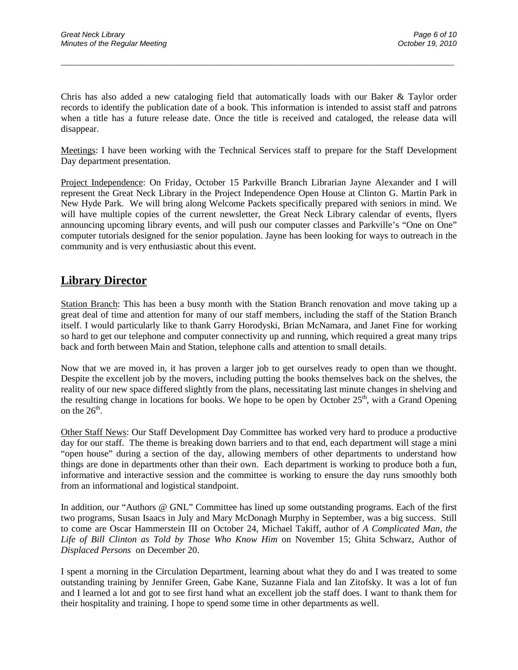Chris has also added a new cataloging field that automatically loads with our Baker & Taylor order records to identify the publication date of a book. This information is intended to assist staff and patrons when a title has a future release date. Once the title is received and cataloged, the release data will disappear.

\_\_\_\_\_\_\_\_\_\_\_\_\_\_\_\_\_\_\_\_\_\_\_\_\_\_\_\_\_\_\_\_\_\_\_\_\_\_\_\_\_\_\_\_\_\_\_\_\_\_\_\_\_\_\_\_\_\_\_\_\_\_\_\_\_\_\_\_\_\_\_\_\_\_\_\_\_\_\_\_\_\_\_\_\_\_\_\_\_\_\_\_\_

Meetings: I have been working with the Technical Services staff to prepare for the Staff Development Day department presentation.

Project Independence: On Friday, October 15 Parkville Branch Librarian Jayne Alexander and I will represent the Great Neck Library in the Project Independence Open House at Clinton G. Martin Park in New Hyde Park. We will bring along Welcome Packets specifically prepared with seniors in mind. We will have multiple copies of the current newsletter, the Great Neck Library calendar of events, flyers announcing upcoming library events, and will push our computer classes and Parkville's "One on One" computer tutorials designed for the senior population. Jayne has been looking for ways to outreach in the community and is very enthusiastic about this event.

## **Library Director**

Station Branch: This has been a busy month with the Station Branch renovation and move taking up a great deal of time and attention for many of our staff members, including the staff of the Station Branch itself. I would particularly like to thank Garry Horodyski, Brian McNamara, and Janet Fine for working so hard to get our telephone and computer connectivity up and running, which required a great many trips back and forth between Main and Station, telephone calls and attention to small details.

Now that we are moved in, it has proven a larger job to get ourselves ready to open than we thought. Despite the excellent job by the movers, including putting the books themselves back on the shelves, the reality of our new space differed slightly from the plans, necessitating last minute changes in shelving and the resulting change in locations for books. We hope to be open by October  $25<sup>th</sup>$ , with a Grand Opening on the  $26<sup>th</sup>$ .

Other Staff News: Our Staff Development Day Committee has worked very hard to produce a productive day for our staff. The theme is breaking down barriers and to that end, each department will stage a mini "open house" during a section of the day, allowing members of other departments to understand how things are done in departments other than their own. Each department is working to produce both a fun, informative and interactive session and the committee is working to ensure the day runs smoothly both from an informational and logistical standpoint.

In addition, our "Authors @ GNL" Committee has lined up some outstanding programs. Each of the first two programs, Susan Isaacs in July and Mary McDonagh Murphy in September, was a big success. Still to come are Oscar Hammerstein III on October 24, Michael Takiff, author of *A Complicated Man, the Life of Bill Clinton as Told by Those Who Know Him* on November 15; Ghita Schwarz, Author of *Displaced Persons* on December 20.

I spent a morning in the Circulation Department, learning about what they do and I was treated to some outstanding training by Jennifer Green, Gabe Kane, Suzanne Fiala and Ian Zitofsky. It was a lot of fun and I learned a lot and got to see first hand what an excellent job the staff does. I want to thank them for their hospitality and training. I hope to spend some time in other departments as well.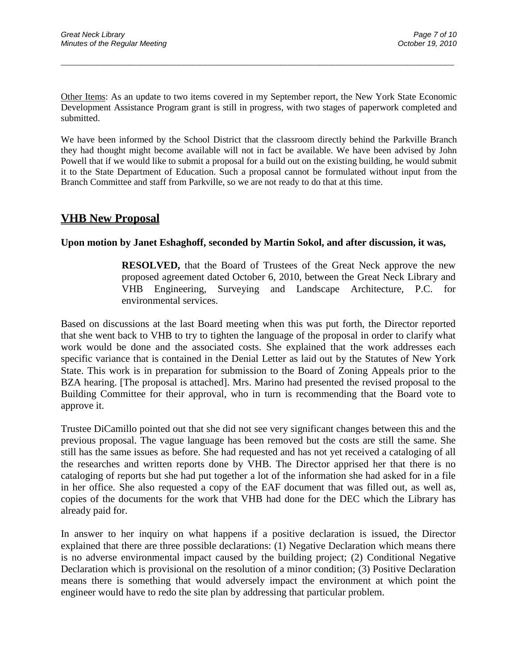Other Items: As an update to two items covered in my September report, the New York State Economic Development Assistance Program grant is still in progress, with two stages of paperwork completed and submitted.

\_\_\_\_\_\_\_\_\_\_\_\_\_\_\_\_\_\_\_\_\_\_\_\_\_\_\_\_\_\_\_\_\_\_\_\_\_\_\_\_\_\_\_\_\_\_\_\_\_\_\_\_\_\_\_\_\_\_\_\_\_\_\_\_\_\_\_\_\_\_\_\_\_\_\_\_\_\_\_\_\_\_\_\_\_\_\_\_\_\_\_\_\_

We have been informed by the School District that the classroom directly behind the Parkville Branch they had thought might become available will not in fact be available. We have been advised by John Powell that if we would like to submit a proposal for a build out on the existing building, he would submit it to the State Department of Education. Such a proposal cannot be formulated without input from the Branch Committee and staff from Parkville, so we are not ready to do that at this time.

### **VHB New Proposal**

#### **Upon motion by Janet Eshaghoff, seconded by Martin Sokol, and after discussion, it was,**

**RESOLVED,** that the Board of Trustees of the Great Neck approve the new proposed agreement dated October 6, 2010, between the Great Neck Library and VHB Engineering, Surveying and Landscape Architecture, P.C. for environmental services.

Based on discussions at the last Board meeting when this was put forth, the Director reported that she went back to VHB to try to tighten the language of the proposal in order to clarify what work would be done and the associated costs. She explained that the work addresses each specific variance that is contained in the Denial Letter as laid out by the Statutes of New York State. This work is in preparation for submission to the Board of Zoning Appeals prior to the BZA hearing. [The proposal is attached]. Mrs. Marino had presented the revised proposal to the Building Committee for their approval, who in turn is recommending that the Board vote to approve it.

Trustee DiCamillo pointed out that she did not see very significant changes between this and the previous proposal. The vague language has been removed but the costs are still the same. She still has the same issues as before. She had requested and has not yet received a cataloging of all the researches and written reports done by VHB. The Director apprised her that there is no cataloging of reports but she had put together a lot of the information she had asked for in a file in her office. She also requested a copy of the EAF document that was filled out, as well as, copies of the documents for the work that VHB had done for the DEC which the Library has already paid for.

In answer to her inquiry on what happens if a positive declaration is issued, the Director explained that there are three possible declarations: (1) Negative Declaration which means there is no adverse environmental impact caused by the building project; (2) Conditional Negative Declaration which is provisional on the resolution of a minor condition; (3) Positive Declaration means there is something that would adversely impact the environment at which point the engineer would have to redo the site plan by addressing that particular problem.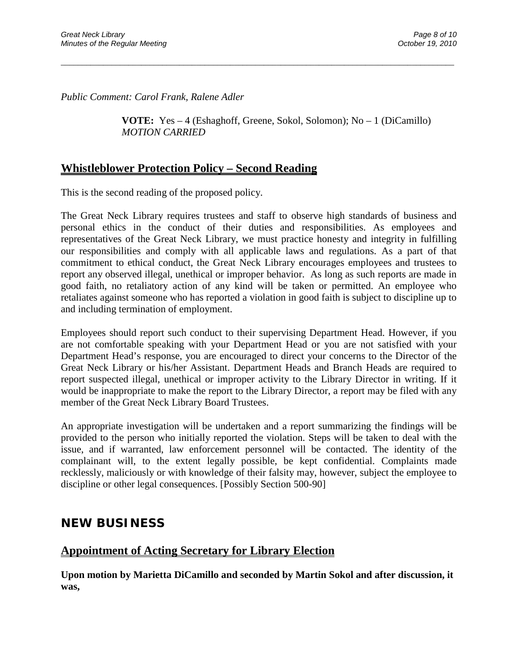*Public Comment: Carol Frank, Ralene Adler*

**VOTE:** Yes – 4 (Eshaghoff, Greene, Sokol, Solomon); No – 1 (DiCamillo) *MOTION CARRIED* 

\_\_\_\_\_\_\_\_\_\_\_\_\_\_\_\_\_\_\_\_\_\_\_\_\_\_\_\_\_\_\_\_\_\_\_\_\_\_\_\_\_\_\_\_\_\_\_\_\_\_\_\_\_\_\_\_\_\_\_\_\_\_\_\_\_\_\_\_\_\_\_\_\_\_\_\_\_\_\_\_\_\_\_\_\_\_\_\_\_\_\_\_\_

### **Whistleblower Protection Policy – Second Reading**

This is the second reading of the proposed policy.

The Great Neck Library requires trustees and staff to observe high standards of business and personal ethics in the conduct of their duties and responsibilities. As employees and representatives of the Great Neck Library, we must practice honesty and integrity in fulfilling our responsibilities and comply with all applicable laws and regulations. As a part of that commitment to ethical conduct, the Great Neck Library encourages employees and trustees to report any observed illegal, unethical or improper behavior. As long as such reports are made in good faith, no retaliatory action of any kind will be taken or permitted. An employee who retaliates against someone who has reported a violation in good faith is subject to discipline up to and including termination of employment.

Employees should report such conduct to their supervising Department Head. However, if you are not comfortable speaking with your Department Head or you are not satisfied with your Department Head's response, you are encouraged to direct your concerns to the Director of the Great Neck Library or his/her Assistant. Department Heads and Branch Heads are required to report suspected illegal, unethical or improper activity to the Library Director in writing. If it would be inappropriate to make the report to the Library Director, a report may be filed with any member of the Great Neck Library Board Trustees.

An appropriate investigation will be undertaken and a report summarizing the findings will be provided to the person who initially reported the violation. Steps will be taken to deal with the issue, and if warranted, law enforcement personnel will be contacted. The identity of the complainant will, to the extent legally possible, be kept confidential. Complaints made recklessly, maliciously or with knowledge of their falsity may, however, subject the employee to discipline or other legal consequences. [Possibly Section 500-90]

### **NEW BUSINESS**

## **Appointment of Acting Secretary for Library Election**

**Upon motion by Marietta DiCamillo and seconded by Martin Sokol and after discussion, it was,**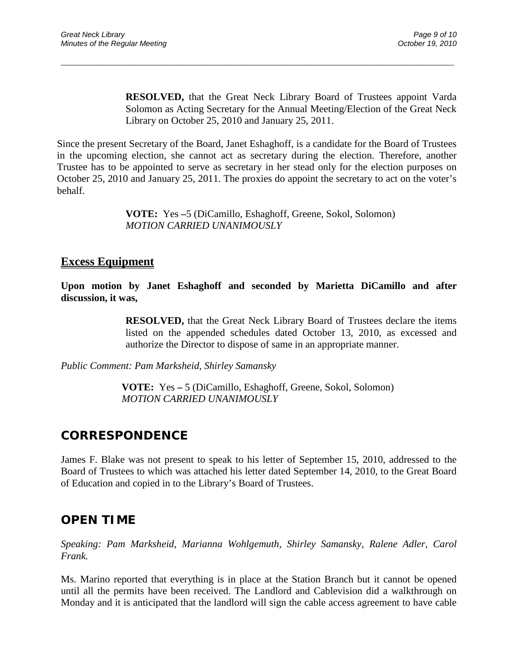**RESOLVED,** that the Great Neck Library Board of Trustees appoint Varda Solomon as Acting Secretary for the Annual Meeting/Election of the Great Neck Library on October 25, 2010 and January 25, 2011.

Since the present Secretary of the Board, Janet Eshaghoff, is a candidate for the Board of Trustees in the upcoming election, she cannot act as secretary during the election. Therefore, another Trustee has to be appointed to serve as secretary in her stead only for the election purposes on October 25, 2010 and January 25, 2011. The proxies do appoint the secretary to act on the voter's behalf.

\_\_\_\_\_\_\_\_\_\_\_\_\_\_\_\_\_\_\_\_\_\_\_\_\_\_\_\_\_\_\_\_\_\_\_\_\_\_\_\_\_\_\_\_\_\_\_\_\_\_\_\_\_\_\_\_\_\_\_\_\_\_\_\_\_\_\_\_\_\_\_\_\_\_\_\_\_\_\_\_\_\_\_\_\_\_\_\_\_\_\_\_\_

**VOTE:** Yes **–**5 (DiCamillo, Eshaghoff, Greene, Sokol, Solomon) *MOTION CARRIED UNANIMOUSLY*

#### **Excess Equipment**

**Upon motion by Janet Eshaghoff and seconded by Marietta DiCamillo and after discussion, it was,**

> **RESOLVED,** that the Great Neck Library Board of Trustees declare the items listed on the appended schedules dated October 13, 2010, as excessed and authorize the Director to dispose of same in an appropriate manner.

*Public Comment: Pam Marksheid, Shirley Samansky*

**VOTE:** Yes **–** 5 (DiCamillo, Eshaghoff, Greene, Sokol, Solomon) *MOTION CARRIED UNANIMOUSLY*

## **CORRESPONDENCE**

James F. Blake was not present to speak to his letter of September 15, 2010, addressed to the Board of Trustees to which was attached his letter dated September 14, 2010, to the Great Board of Education and copied in to the Library's Board of Trustees.

## **OPEN TIME**

*Speaking: Pam Marksheid, Marianna Wohlgemuth, Shirley Samansky, Ralene Adler, Carol Frank.*

Ms. Marino reported that everything is in place at the Station Branch but it cannot be opened until all the permits have been received. The Landlord and Cablevision did a walkthrough on Monday and it is anticipated that the landlord will sign the cable access agreement to have cable